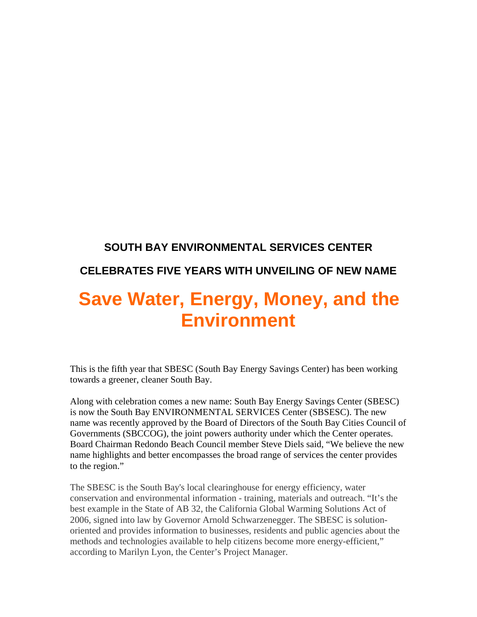## **SOUTH BAY ENVIRONMENTAL SERVICES CENTER**

## **CELEBRATES FIVE YEARS WITH UNVEILING OF NEW NAME**

## **Save Water, Energy, Money, and the Environment**

This is the fifth year that SBESC (South Bay Energy Savings Center) has been working towards a greener, cleaner South Bay.

Along with celebration comes a new name: South Bay Energy Savings Center (SBESC) is now the South Bay ENVIRONMENTAL SERVICES Center (SBSESC). The new name was recently approved by the Board of Directors of the South Bay Cities Council of Governments (SBCCOG), the joint powers authority under which the Center operates. Board Chairman Redondo Beach Council member Steve Diels said, "We believe the new name highlights and better encompasses the broad range of services the center provides to the region."

The SBESC is the South Bay's local clearinghouse for energy efficiency, water conservation and environmental information - training, materials and outreach. "It's the best example in the State of AB 32, the California Global Warming Solutions Act of 2006, signed into law by Governor Arnold Schwarzenegger. The SBESC is solutionoriented and provides information to businesses, residents and public agencies about the methods and technologies available to help citizens become more energy-efficient," according to Marilyn Lyon, the Center's Project Manager.